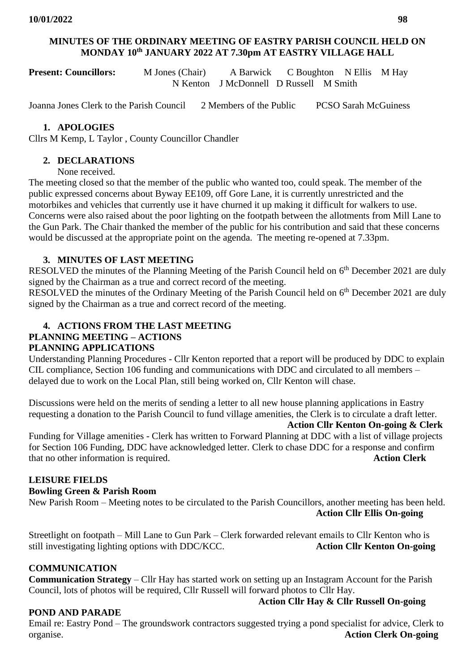### **MINUTES OF THE ORDINARY MEETING OF EASTRY PARISH COUNCIL HELD ON MONDAY 10th JANUARY 2022 AT 7.30pm AT EASTRY VILLAGE HALL**

**Present: Councillors:** M Jones (Chair) A Barwick C Boughton N Ellis M Hay N Kenton J McDonnell D Russell M Smith

Joanna Jones Clerk to the Parish Council 2 Members of the Public PCSO Sarah McGuiness

### **1. APOLOGIES**

Cllrs M Kemp, L Taylor , County Councillor Chandler

#### **2. DECLARATIONS**

None received.

The meeting closed so that the member of the public who wanted too, could speak. The member of the public expressed concerns about Byway EE109, off Gore Lane, it is currently unrestricted and the motorbikes and vehicles that currently use it have churned it up making it difficult for walkers to use. Concerns were also raised about the poor lighting on the footpath between the allotments from Mill Lane to the Gun Park. The Chair thanked the member of the public for his contribution and said that these concerns would be discussed at the appropriate point on the agenda. The meeting re-opened at 7.33pm.

### **3. MINUTES OF LAST MEETING**

RESOLVED the minutes of the Planning Meeting of the Parish Council held on 6<sup>th</sup> December 2021 are duly signed by the Chairman as a true and correct record of the meeting.

RESOLVED the minutes of the Ordinary Meeting of the Parish Council held on 6<sup>th</sup> December 2021 are duly signed by the Chairman as a true and correct record of the meeting.

# **4. ACTIONS FROM THE LAST MEETING PLANNING MEETING – ACTIONS**

#### **PLANNING APPLICATIONS**

Understanding Planning Procedures - Cllr Kenton reported that a report will be produced by DDC to explain CIL compliance, Section 106 funding and communications with DDC and circulated to all members – delayed due to work on the Local Plan, still being worked on, Cllr Kenton will chase.

Discussions were held on the merits of sending a letter to all new house planning applications in Eastry requesting a donation to the Parish Council to fund village amenities, the Clerk is to circulate a draft letter.

#### **Action Cllr Kenton On-going & Clerk**

Funding for Village amenities - Clerk has written to Forward Planning at DDC with a list of village projects for Section 106 Funding, DDC have acknowledged letter. Clerk to chase DDC for a response and confirm that no other information is required. **Action Clerk**

### **LEISURE FIELDS**

#### **Bowling Green & Parish Room**

New Parish Room – Meeting notes to be circulated to the Parish Councillors, another meeting has been held. **Action Cllr Ellis On-going**

Streetlight on footpath – Mill Lane to Gun Park – Clerk forwarded relevant emails to Cllr Kenton who is still investigating lighting options with DDC/KCC. Action Cllr Kenton On-going

### **COMMUNICATION**

**Communication Strategy** – Cllr Hay has started work on setting up an Instagram Account for the Parish Council, lots of photos will be required, Cllr Russell will forward photos to Cllr Hay.

### **POND AND PARADE**

**Action Cllr Hay & Cllr Russell On-going**

Email re: Eastry Pond – The groundswork contractors suggested trying a pond specialist for advice, Clerk to organise. **Action Clerk On-going**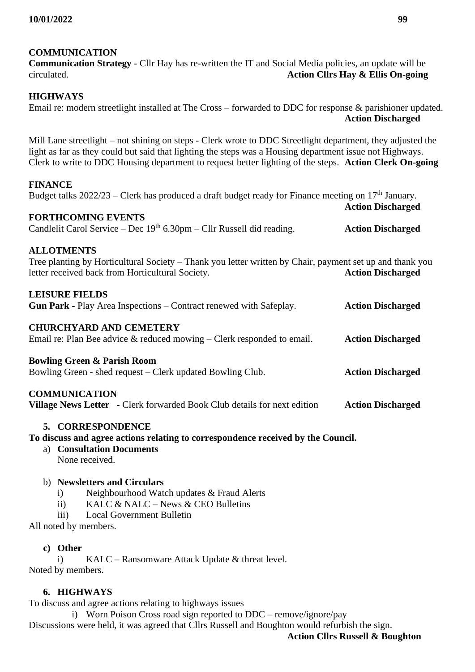## **COMMUNICATION**

**Communication Strategy** - Cllr Hay has re-written the IT and Social Media policies, an update will be circulated. **Action Cllrs Hay & Ellis On-going**

## **HIGHWAYS**

Email re: modern streetlight installed at The Cross – forwarded to DDC for response & parishioner updated. **Action Discharged**

Mill Lane streetlight – not shining on steps - Clerk wrote to DDC Streetlight department, they adjusted the light as far as they could but said that lighting the steps was a Housing department issue not Highways. Clerk to write to DDC Housing department to request better lighting of the steps. **Action Clerk On-going**

### **FINANCE**

Budget talks  $2022/23$  – Clerk has produced a draft budget ready for Finance meeting on 17<sup>th</sup> January. **Action Discharged**

### **FORTHCOMING EVENTS**

Candlelit Carol Service – Dec 19th 6.30pm – Cllr Russell did reading. **Action Discharged**

### **ALLOTMENTS**

Tree planting by Horticultural Society – Thank you letter written by Chair, payment set up and thank you letter received back from Horticultural Society. **Action Discharged**

### **LEISURE FIELDS**

**Gun Park -** Play Area Inspections – Contract renewed with Safeplay. **Action Discharged**

### **CHURCHYARD AND CEMETERY**

Email re: Plan Bee advice & reduced mowing – Clerk responded to email. **Action Discharged**

### **Bowling Green & Parish Room**

Bowling Green - shed request – Clerk updated Bowling Club. **Action Discharged**

### **COMMUNICATION**

**Village News Letter -** Clerk forwarded Book Club details for next edition **Action Discharged**

### **5. CORRESPONDENCE**

**To discuss and agree actions relating to correspondence received by the Council.**

a) **Consultation Documents**  None received.

### b) **Newsletters and Circulars**

- i) Neighbourhood Watch updates & Fraud Alerts
- ii) KALC & NALC News & CEO Bulletins
- iii) Local Government Bulletin

All noted by members.

### **c) Other**

i) KALC – Ransomware Attack Update & threat level. Noted by members.

### **6. HIGHWAYS**

To discuss and agree actions relating to highways issues

i) Worn Poison Cross road sign reported to DDC – remove/ignore/pay Discussions were held, it was agreed that Cllrs Russell and Boughton would refurbish the sign.

## **Action Cllrs Russell & Boughton**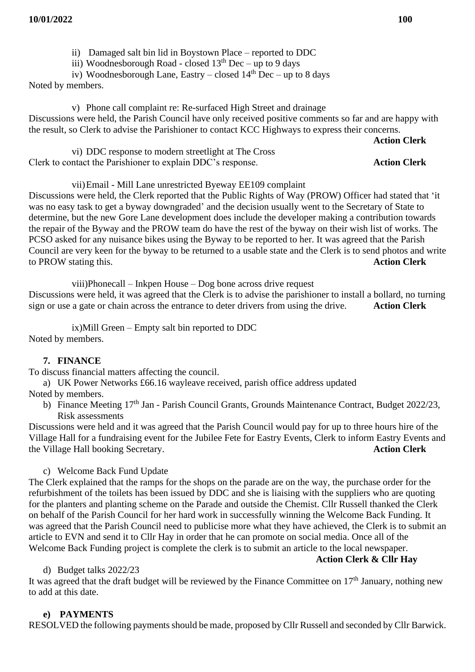iii) Woodnesborough Road - closed 13<sup>th</sup> Dec – up to 9 days

iv) Woodnesborough Lane, Eastry – closed  $14<sup>th</sup>$  Dec – up to 8 days

Noted by members.

v) Phone call complaint re: Re-surfaced High Street and drainage Discussions were held, the Parish Council have only received positive comments so far and are happy with the result, so Clerk to advise the Parishioner to contact KCC Highways to express their concerns.

#### **Action Clerk**

**Action Clerk** 

|                                                             | vi) DDC response to modern streetlight at The Cross |  |
|-------------------------------------------------------------|-----------------------------------------------------|--|
| Clerk to contact the Parishioner to explain DDC's response. |                                                     |  |

vii)Email - Mill Lane unrestricted Byeway EE109 complaint

Discussions were held, the Clerk reported that the Public Rights of Way (PROW) Officer had stated that 'it was no easy task to get a byway downgraded' and the decision usually went to the Secretary of State to determine, but the new Gore Lane development does include the developer making a contribution towards the repair of the Byway and the PROW team do have the rest of the byway on their wish list of works. The PCSO asked for any nuisance bikes using the Byway to be reported to her. It was agreed that the Parish Council are very keen for the byway to be returned to a usable state and the Clerk is to send photos and write to PROW stating this. **Action Clerk**

viii)Phonecall – Inkpen House – Dog bone across drive request Discussions were held, it was agreed that the Clerk is to advise the parishioner to install a bollard, no turning sign or use a gate or chain across the entrance to deter drivers from using the drive. **Action Clerk**

ix)Mill Green – Empty salt bin reported to DDC Noted by members.

## **7. FINANCE**

To discuss financial matters affecting the council.

- a) UK Power Networks £66.16 wayleave received, parish office address updated Noted by members.
	- b) Finance Meeting 17<sup>th</sup> Jan Parish Council Grants, Grounds Maintenance Contract, Budget 2022/23, Risk assessments

Discussions were held and it was agreed that the Parish Council would pay for up to three hours hire of the Village Hall for a fundraising event for the Jubilee Fete for Eastry Events, Clerk to inform Eastry Events and the Village Hall booking Secretary. **Action Clerk**

c) Welcome Back Fund Update

The Clerk explained that the ramps for the shops on the parade are on the way, the purchase order for the refurbishment of the toilets has been issued by DDC and she is liaising with the suppliers who are quoting for the planters and planting scheme on the Parade and outside the Chemist. Cllr Russell thanked the Clerk on behalf of the Parish Council for her hard work in successfully winning the Welcome Back Funding. It was agreed that the Parish Council need to publicise more what they have achieved, the Clerk is to submit an article to EVN and send it to Cllr Hay in order that he can promote on social media. Once all of the Welcome Back Funding project is complete the clerk is to submit an article to the local newspaper.

**Action Clerk & Cllr Hay**

## d) Budget talks 2022/23

It was agreed that the draft budget will be reviewed by the Finance Committee on 17<sup>th</sup> January, nothing new to add at this date.

## **e) PAYMENTS**

RESOLVED the following payments should be made, proposed by Cllr Russell and seconded by Cllr Barwick.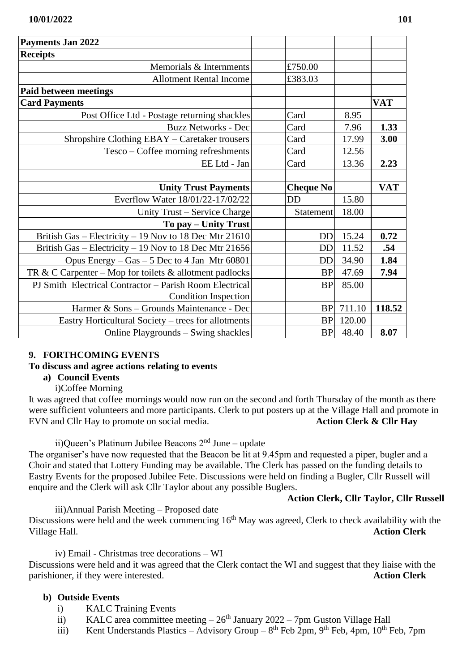| £750.00          |        |            |
|------------------|--------|------------|
| £383.03          |        |            |
|                  |        |            |
|                  |        | <b>VAT</b> |
| Card             | 8.95   |            |
| Card             | 7.96   | 1.33       |
| Card             | 17.99  | 3.00       |
| Card             | 12.56  |            |
| Card             | 13.36  | 2.23       |
|                  |        |            |
| <b>Cheque No</b> |        | <b>VAT</b> |
| DD               | 15.80  |            |
| Statement        | 18.00  |            |
|                  |        |            |
| <b>DD</b>        | 15.24  | 0.72       |
|                  | 11.52  | .54        |
| <b>DD</b>        | 34.90  | 1.84       |
| <b>BP</b>        | 47.69  | 7.94       |
| <b>BP</b>        | 85.00  |            |
|                  |        |            |
| <b>BP</b>        | 711.10 | 118.52     |
| <b>BP</b>        | 120.00 |            |
| <b>BP</b>        | 48.40  | 8.07       |
|                  |        | <b>DD</b>  |

## **9. FORTHCOMING EVENTS**

### **To discuss and agree actions relating to events**

### **a) Council Events**

i)Coffee Morning

It was agreed that coffee mornings would now run on the second and forth Thursday of the month as there were sufficient volunteers and more participants. Clerk to put posters up at the Village Hall and promote in EVN and Cllr Hay to promote on social media.<br>Action Clerk & Cllr Hay EVN and Cllr Hay to promote on social media.

ii)Queen's Platinum Jubilee Beacons  $2<sup>nd</sup>$  June – update

The organiser's have now requested that the Beacon be lit at 9.45pm and requested a piper, bugler and a Choir and stated that Lottery Funding may be available. The Clerk has passed on the funding details to Eastry Events for the proposed Jubilee Fete. Discussions were held on finding a Bugler, Cllr Russell will enquire and the Clerk will ask Cllr Taylor about any possible Buglers.

## **Action Clerk, Cllr Taylor, Cllr Russell**

 iii)Annual Parish Meeting – Proposed date Discussions were held and the week commencing 16<sup>th</sup> May was agreed, Clerk to check availability with the Village Hall. **Action Clerk**

iv) Email - Christmas tree decorations – WI

Discussions were held and it was agreed that the Clerk contact the WI and suggest that they liaise with the parishioner, if they were interested. **Action Clerk**

## **b) Outside Events**

- i) KALC Training Events
- ii) KALC area committee meeting  $-26<sup>th</sup>$  January 2022 7pm Guston Village Hall
- iii) Kent Understands Plastics Advisory Group  $8<sup>th</sup>$  Feb 2pm,  $9<sup>th</sup>$  Feb, 4pm,  $10<sup>th</sup>$  Feb, 7pm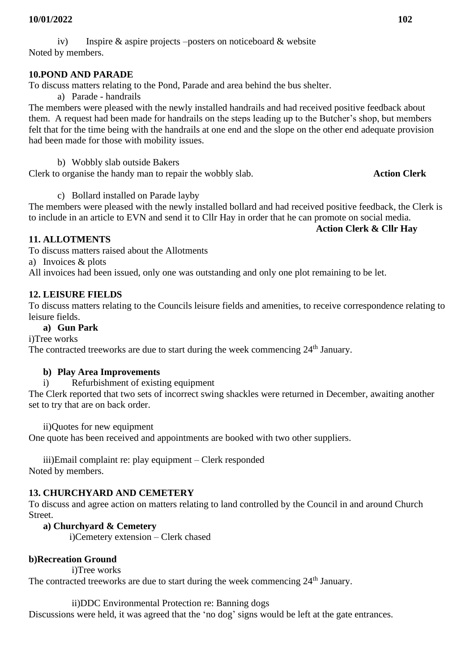iv) Inspire  $\&$  aspire projects –posters on noticeboard  $\&$  website Noted by members.

### **10.POND AND PARADE**

To discuss matters relating to the Pond, Parade and area behind the bus shelter.

a) Parade - handrails

The members were pleased with the newly installed handrails and had received positive feedback about them. A request had been made for handrails on the steps leading up to the Butcher's shop, but members felt that for the time being with the handrails at one end and the slope on the other end adequate provision had been made for those with mobility issues.

b) Wobbly slab outside Bakers

Clerk to organise the handy man to repair the wobbly slab. **Action Clerk**

c) Bollard installed on Parade layby

The members were pleased with the newly installed bollard and had received positive feedback, the Clerk is to include in an article to EVN and send it to Cllr Hay in order that he can promote on social media.

### **Action Clerk & Cllr Hay**

**11. ALLOTMENTS**

To discuss matters raised about the Allotments

a) Invoices & plots

All invoices had been issued, only one was outstanding and only one plot remaining to be let.

## **12. LEISURE FIELDS**

To discuss matters relating to the Councils leisure fields and amenities, to receive correspondence relating to leisure fields.

## **a) Gun Park**

i)Tree works

The contracted treeworks are due to start during the week commencing  $24<sup>th</sup>$  January.

## **b) Play Area Improvements**

i) Refurbishment of existing equipment

The Clerk reported that two sets of incorrect swing shackles were returned in December, awaiting another set to try that are on back order.

ii)Quotes for new equipment

One quote has been received and appointments are booked with two other suppliers.

iii)Email complaint re: play equipment – Clerk responded Noted by members.

## **13. CHURCHYARD AND CEMETERY**

To discuss and agree action on matters relating to land controlled by the Council in and around Church Street.

## **a) Churchyard & Cemetery**

i)Cemetery extension – Clerk chased

## **b)Recreation Ground**

i)Tree works The contracted treeworks are due to start during the week commencing  $24<sup>th</sup>$  January.

ii)DDC Environmental Protection re: Banning dogs

Discussions were held, it was agreed that the 'no dog' signs would be left at the gate entrances.